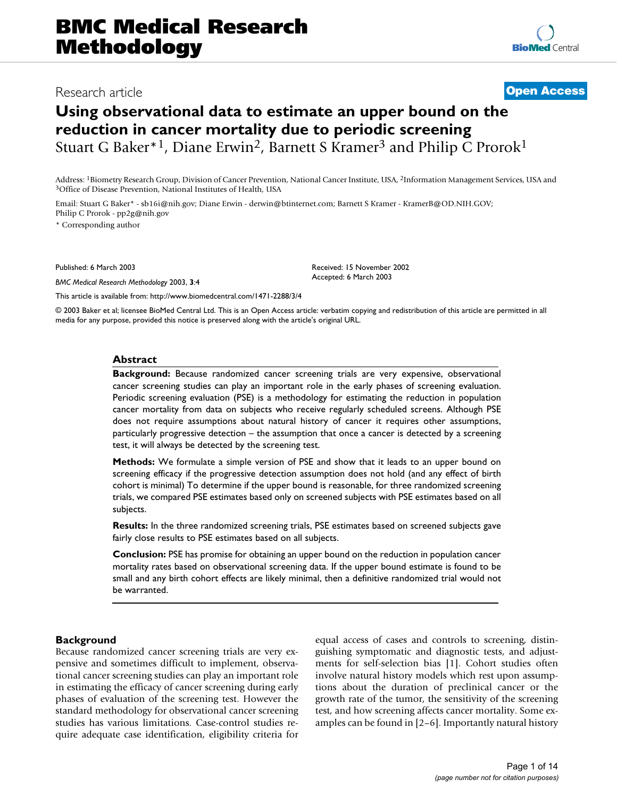## Research article **[Open Access](http://www.biomedcentral.com/info/about/charter/)**

# **Using observational data to estimate an upper bound on the reduction in cancer mortality due to periodic screening** Stuart G Baker<sup>\*1</sup>, Diane Erwin<sup>2</sup>, Barnett S Kramer<sup>3</sup> and Philip C Prorok<sup>1</sup>

Address: <sup>1</sup>Biometry Research Group, Division of Cancer Prevention, National Cancer Institute, USA, <sup>2</sup>Information Management Services, USA and <sup>3</sup>Office of Disease Prevention, National Institutes of Health, USA

Email: Stuart G Baker\* - sb16i@nih.gov; Diane Erwin - derwin@btinternet.com; Barnett S Kramer - KramerB@OD.NIH.GOV; Philip C Prorok - pp2g@nih.gov

\* Corresponding author

Published: 6 March 2003

*BMC Medical Research Methodology* 2003, **3**:4

[This article is available from: http://www.biomedcentral.com/1471-2288/3/4](http://www.biomedcentral.com/1471-2288/3/4)

© 2003 Baker et al; licensee BioMed Central Ltd. This is an Open Access article: verbatim copying and redistribution of this article are permitted in all media for any purpose, provided this notice is preserved along with the article's original URL.

Received: 15 November 2002 Accepted: 6 March 2003

## **Abstract**

**Background:** Because randomized cancer screening trials are very expensive, observational cancer screening studies can play an important role in the early phases of screening evaluation. Periodic screening evaluation (PSE) is a methodology for estimating the reduction in population cancer mortality from data on subjects who receive regularly scheduled screens. Although PSE does not require assumptions about natural history of cancer it requires other assumptions, particularly progressive detection – the assumption that once a cancer is detected by a screening test, it will always be detected by the screening test.

**Methods:** We formulate a simple version of PSE and show that it leads to an upper bound on screening efficacy if the progressive detection assumption does not hold (and any effect of birth cohort is minimal) To determine if the upper bound is reasonable, for three randomized screening trials, we compared PSE estimates based only on screened subjects with PSE estimates based on all subjects.

**Results:** In the three randomized screening trials, PSE estimates based on screened subjects gave fairly close results to PSE estimates based on all subjects.

**Conclusion:** PSE has promise for obtaining an upper bound on the reduction in population cancer mortality rates based on observational screening data. If the upper bound estimate is found to be small and any birth cohort effects are likely minimal, then a definitive randomized trial would not be warranted.

## **Background**

Because randomized cancer screening trials are very expensive and sometimes difficult to implement, observational cancer screening studies can play an important role in estimating the efficacy of cancer screening during early phases of evaluation of the screening test. However the standard methodology for observational cancer screening studies has various limitations. Case-control studies require adequate case identification, eligibility criteria for equal access of cases and controls to screening, distinguishing symptomatic and diagnostic tests, and adjustments for self-selection bias [1]. Cohort studies often involve natural history models which rest upon assumptions about the duration of preclinical cancer or the growth rate of the tumor, the sensitivity of the screening test, and how screening affects cancer mortality. Some examples can be found in [2–6]. Importantly natural history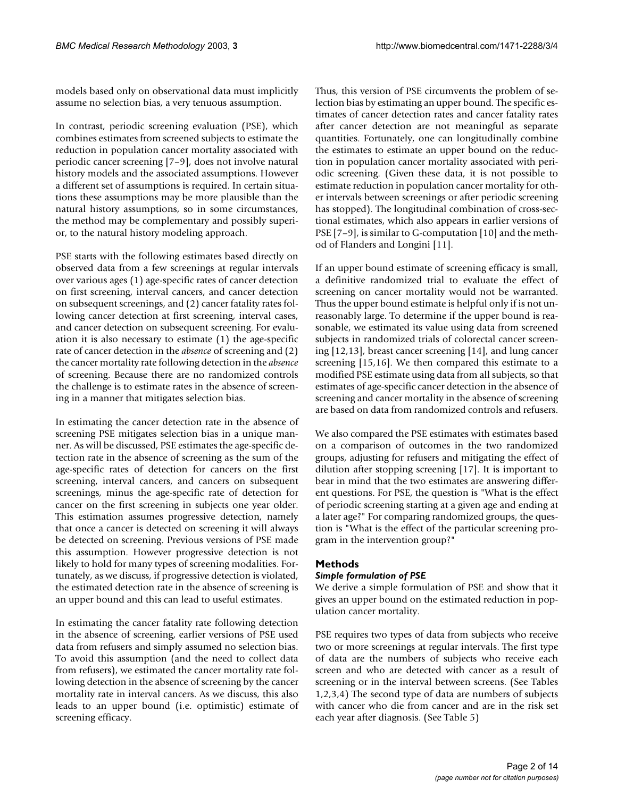models based only on observational data must implicitly assume no selection bias, a very tenuous assumption.

In contrast, periodic screening evaluation (PSE), which combines estimates from screened subjects to estimate the reduction in population cancer mortality associated with periodic cancer screening [7–9], does not involve natural history models and the associated assumptions. However a different set of assumptions is required. In certain situations these assumptions may be more plausible than the natural history assumptions, so in some circumstances, the method may be complementary and possibly superior, to the natural history modeling approach.

PSE starts with the following estimates based directly on observed data from a few screenings at regular intervals over various ages (1) age-specific rates of cancer detection on first screening, interval cancers, and cancer detection on subsequent screenings, and (2) cancer fatality rates following cancer detection at first screening, interval cases, and cancer detection on subsequent screening. For evaluation it is also necessary to estimate (1) the age-specific rate of cancer detection in the *absence* of screening and (2) the cancer mortality rate following detection in the *absence* of screening. Because there are no randomized controls the challenge is to estimate rates in the absence of screening in a manner that mitigates selection bias.

In estimating the cancer detection rate in the absence of screening PSE mitigates selection bias in a unique manner. As will be discussed, PSE estimates the age-specific detection rate in the absence of screening as the sum of the age-specific rates of detection for cancers on the first screening, interval cancers, and cancers on subsequent screenings, minus the age-specific rate of detection for cancer on the first screening in subjects one year older. This estimation assumes progressive detection, namely that once a cancer is detected on screening it will always be detected on screening. Previous versions of PSE made this assumption. However progressive detection is not likely to hold for many types of screening modalities. Fortunately, as we discuss, if progressive detection is violated, the estimated detection rate in the absence of screening is an upper bound and this can lead to useful estimates.

In estimating the cancer fatality rate following detection in the absence of screening, earlier versions of PSE used data from refusers and simply assumed no selection bias. To avoid this assumption (and the need to collect data from refusers), we estimated the cancer mortality rate following detection in the absence of screening by the cancer mortality rate in interval cancers. As we discuss, this also leads to an upper bound (i.e. optimistic) estimate of screening efficacy.

Thus, this version of PSE circumvents the problem of selection bias by estimating an upper bound. The specific estimates of cancer detection rates and cancer fatality rates after cancer detection are not meaningful as separate quantities. Fortunately, one can longitudinally combine the estimates to estimate an upper bound on the reduction in population cancer mortality associated with periodic screening. (Given these data, it is not possible to estimate reduction in population cancer mortality for other intervals between screenings or after periodic screening has stopped). The longitudinal combination of cross-sectional estimates, which also appears in earlier versions of PSE [7–9], is similar to G-computation [10] and the method of Flanders and Longini [11].

If an upper bound estimate of screening efficacy is small, a definitive randomized trial to evaluate the effect of screening on cancer mortality would not be warranted. Thus the upper bound estimate is helpful only if is not unreasonably large. To determine if the upper bound is reasonable, we estimated its value using data from screened subjects in randomized trials of colorectal cancer screening [12,13], breast cancer screening [14], and lung cancer screening [15,16]. We then compared this estimate to a modified PSE estimate using data from all subjects, so that estimates of age-specific cancer detection in the absence of screening and cancer mortality in the absence of screening are based on data from randomized controls and refusers.

We also compared the PSE estimates with estimates based on a comparison of outcomes in the two randomized groups, adjusting for refusers and mitigating the effect of dilution after stopping screening [17]. It is important to bear in mind that the two estimates are answering different questions. For PSE, the question is "What is the effect of periodic screening starting at a given age and ending at a later age?" For comparing randomized groups, the question is "What is the effect of the particular screening program in the intervention group?"

## **Methods**

## *Simple formulation of PSE*

We derive a simple formulation of PSE and show that it gives an upper bound on the estimated reduction in population cancer mortality.

PSE requires two types of data from subjects who receive two or more screenings at regular intervals. The first type of data are the numbers of subjects who receive each screen and who are detected with cancer as a result of screening or in the interval between screens. (See Tables [1](#page-2-0)[,2](#page-3-0),[3](#page-4-0),[4](#page-6-0)) The second type of data are numbers of subjects with cancer who die from cancer and are in the risk set each year after diagnosis. (See Table [5\)](#page-7-0)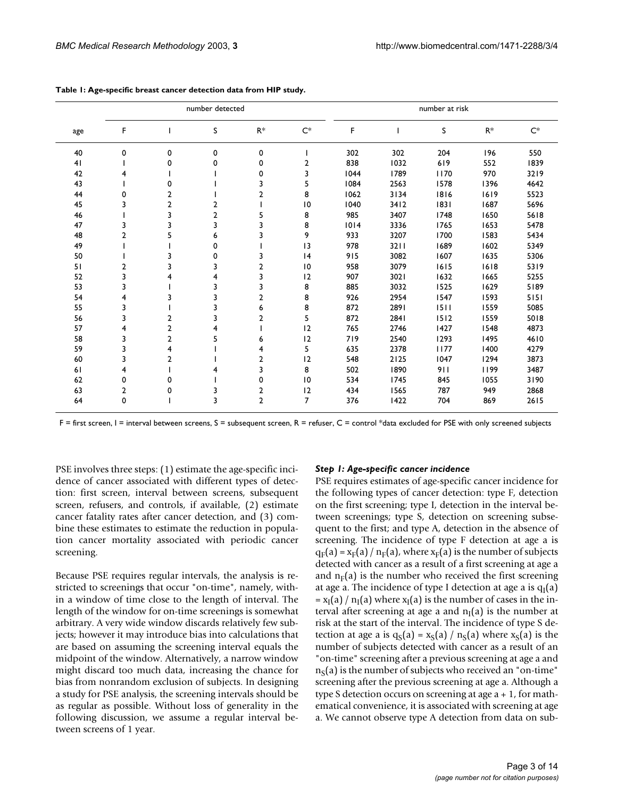|     |                |                | number detected |                |                         | number at risk |      |      |       |       |
|-----|----------------|----------------|-----------------|----------------|-------------------------|----------------|------|------|-------|-------|
| age | F              |                | S               | $R^*$          | $C^*$                   | F              |      | S    | $R^*$ | $C^*$ |
| 40  | 0              | 0              | 0               | 0              |                         | 302            | 302  | 204  | 196   | 550   |
| 41  |                | 0              | 0               | 0              | 2                       | 838            | 1032 | 619  | 552   | 1839  |
| 42  | 4              |                |                 | 0              | $\overline{\mathbf{3}}$ | 1044           | 1789 | 1170 | 970   | 3219  |
| 43  |                | 0              |                 | 3              | 5                       | 1084           | 2563 | 1578 | 1396  | 4642  |
| 44  | 0              | 2              |                 | 2              | 8                       | 1062           | 3134 | 1816 | 1619  | 5523  |
| 45  | 3              | 2              | $\overline{2}$  |                | 10                      | 1040           | 3412 | 1831 | 1687  | 5696  |
| 46  |                | 3              | $\overline{2}$  | 5              | 8                       | 985            | 3407 | 1748 | 1650  | 5618  |
| 47  | 3              | 3              | 3               | 3              | 8                       | 1014           | 3336 | 1765 | 1653  | 5478  |
| 48  | $\overline{2}$ | 5              | 6               | 3              | 9                       | 933            | 3207 | 1700 | 1583  | 5434  |
| 49  |                |                | 0               |                | 3                       | 978            | 3211 | 1689 | 1602  | 5349  |
| 50  |                | 3              | 0               | 3              | 4                       | 915            | 3082 | 1607 | 1635  | 5306  |
| 51  | $\overline{2}$ | 3              | 3               | 2              | 10                      | 958            | 3079 | 1615 | 1618  | 5319  |
| 52  | 3              | 4              | 4               | 3              | 12                      | 907            | 3021 | 1632 | 1665  | 5255  |
| 53  | 3              |                | 3               | 3              | 8                       | 885            | 3032 | 1525 | 1629  | 5189  |
| 54  | 4              | 3              | 3               | $\overline{2}$ | 8                       | 926            | 2954 | 1547 | 1593  | 5151  |
| 55  | 3              |                | 3               | 6              | 8                       | 872            | 2891 | 1511 | 1559  | 5085  |
| 56  | 3              | 2              | 3               | 2              | 5                       | 872            | 2841 | 1512 | 1559  | 5018  |
| 57  | 4              | $\overline{2}$ | 4               |                | 12                      | 765            | 2746 | 1427 | 1548  | 4873  |
| 58  | 3              | $\overline{2}$ | 5               | 6              | 12                      | 719            | 2540 | 1293 | 1495  | 4610  |
| 59  | 3              | 4              |                 | 4              | 5                       | 635            | 2378 | 1177 | 1400  | 4279  |
| 60  | 3              | 2              |                 | 2              | 12                      | 548            | 2125 | 1047 | 1294  | 3873  |
| 61  | 4              |                | 4               | 3              | 8                       | 502            | 1890 | 911  | 1199  | 3487  |
| 62  | 0              | 0              |                 | 0              | 10                      | 534            | 1745 | 845  | 1055  | 3190  |
| 63  | 2              | 0              | 3               | 2              | 12                      | 434            | 1565 | 787  | 949   | 2868  |
| 64  | 0              |                | 3               | $\overline{2}$ | $\overline{7}$          | 376            | 1422 | 704  | 869   | 2615  |

<span id="page-2-0"></span>

| Table 1: Age-specific breast cancer detection data from HIP study. |  |  |
|--------------------------------------------------------------------|--|--|
|--------------------------------------------------------------------|--|--|

F = first screen, I = interval between screens, S = subsequent screen, R = refuser, C = control \*data excluded for PSE with only screened subjects

PSE involves three steps: (1) estimate the age-specific incidence of cancer associated with different types of detection: first screen, interval between screens, subsequent screen, refusers, and controls, if available, (2) estimate cancer fatality rates after cancer detection, and (3) combine these estimates to estimate the reduction in population cancer mortality associated with periodic cancer screening.

Because PSE requires regular intervals, the analysis is restricted to screenings that occur "on-time", namely, within a window of time close to the length of interval. The length of the window for on-time screenings is somewhat arbitrary. A very wide window discards relatively few subjects; however it may introduce bias into calculations that are based on assuming the screening interval equals the midpoint of the window. Alternatively, a narrow window might discard too much data, increasing the chance for bias from nonrandom exclusion of subjects. In designing a study for PSE analysis, the screening intervals should be as regular as possible. Without loss of generality in the following discussion, we assume a regular interval between screens of 1 year.

## *Step 1: Age-specific cancer incidence*

PSE requires estimates of age-specific cancer incidence for the following types of cancer detection: type F, detection on the first screening; type I, detection in the interval between screenings; type S, detection on screening subsequent to the first; and type A, detection in the absence of screening. The incidence of type F detection at age a is  $q_F(a) = x_F(a) / n_F(a)$ , where  $x_F(a)$  is the number of subjects detected with cancer as a result of a first screening at age a and  $n_F(a)$  is the number who received the first screening at age a. The incidence of type I detection at age a is  $q_1(a)$  $= x_I(a) / n_I(a)$  where  $x_I(a)$  is the number of cases in the interval after screening at age a and  $n<sub>I</sub>(a)$  is the number at risk at the start of the interval. The incidence of type S detection at age a is  $q_S(a) = x_S(a) / n_S(a)$  where  $x_S(a)$  is the number of subjects detected with cancer as a result of an "on-time" screening after a previous screening at age a and  $n<sub>S</sub>(a)$  is the number of subjects who received an "on-time" screening after the previous screening at age a. Although a type S detection occurs on screening at age a + 1, for mathematical convenience, it is associated with screening at age a. We cannot observe type A detection from data on sub-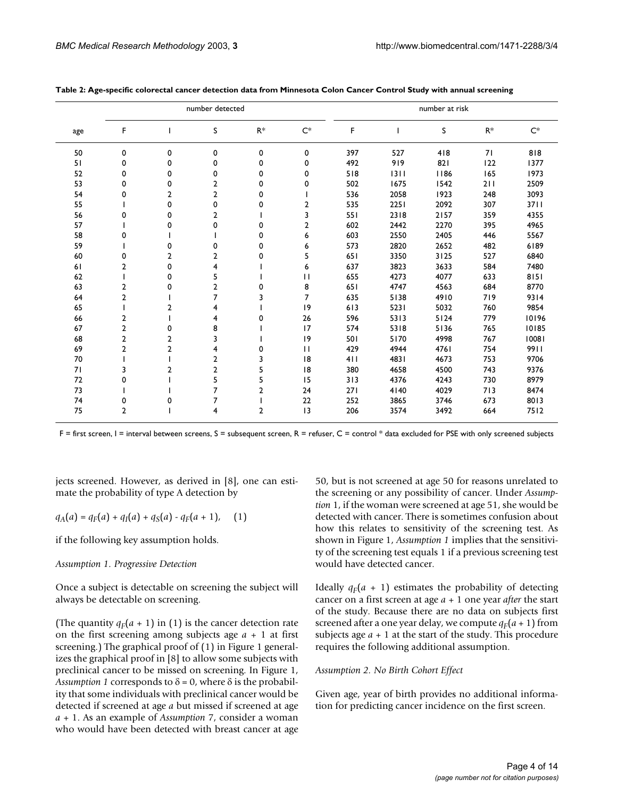|     |                |                | number detected |                |                | number at risk |      |      |       |       |
|-----|----------------|----------------|-----------------|----------------|----------------|----------------|------|------|-------|-------|
| age | F              |                | S               | $R^*$          | $C^*$          | F              |      | S    | $R^*$ | $C^*$ |
| 50  | 0              | 0              | 0               | 0              | 0              | 397            | 527  | 418  | 71    | 818   |
| 51  | 0              | 0              | 0               | 0              | 0              | 492            | 919  | 821  | 122   | 1377  |
| 52  | 0              | 0              | 0               | 0              | 0              | 518            | 1311 | 1186 | 165   | 1973  |
| 53  | 0              | 0              | $\overline{2}$  | 0              | 0              | 502            | 1675 | 1542 | 211   | 2509  |
| 54  | 0              | 2              | 2               | 0              |                | 536            | 2058 | 1923 | 248   | 3093  |
| 55  |                | 0              | 0               | 0              | 2              | 535            | 2251 | 2092 | 307   | 3711  |
| 56  | 0              | 0              | $\overline{2}$  |                | 3              | 551            | 2318 | 2157 | 359   | 4355  |
| 57  |                | 0              | 0               | 0              | $\overline{2}$ | 602            | 2442 | 2270 | 395   | 4965  |
| 58  | 0              |                |                 | 0              | 6              | 603            | 2550 | 2405 | 446   | 5567  |
| 59  |                | 0              | 0               | 0              | 6              | 573            | 2820 | 2652 | 482   | 6189  |
| 60  | 0              | 2              | 2               | 0              | 5              | 651            | 3350 | 3125 | 527   | 6840  |
| 61  | $\overline{2}$ | 0              | 4               |                | 6              | 637            | 3823 | 3633 | 584   | 7480  |
| 62  |                | 0              | 5               |                | $\mathbf{H}$   | 655            | 4273 | 4077 | 633   | 8151  |
| 63  | $\overline{2}$ | 0              | $\overline{2}$  | 0              | 8              | 651            | 4747 | 4563 | 684   | 8770  |
| 64  | $\overline{2}$ |                | 7               | 3              | $\overline{7}$ | 635            | 5138 | 4910 | 719   | 9314  |
| 65  |                | $\overline{2}$ | 4               |                | 9              | 613            | 5231 | 5032 | 760   | 9854  |
| 66  | $\overline{2}$ |                | 4               | 0              | 26             | 596            | 5313 | 5124 | 779   | 10196 |
| 67  | $\overline{2}$ | 0              | 8               |                | 17             | 574            | 5318 | 5136 | 765   | 10185 |
| 68  | $\overline{2}$ | 2              | 3               |                | 9              | 501            | 5170 | 4998 | 767   | 10081 |
| 69  | $\overline{2}$ | 2              | 4               | 0              | $\mathbf{H}$   | 429            | 4944 | 4761 | 754   | 9911  |
| 70  |                |                | 2               | 3              | 18             | 411            | 4831 | 4673 | 753   | 9706  |
| 71  | 3              | $\overline{2}$ | $\overline{2}$  | 5              | 18             | 380            | 4658 | 4500 | 743   | 9376  |
| 72  | 0              |                | 5               | 5              | 15             | 313            | 4376 | 4243 | 730   | 8979  |
| 73  |                |                | 7               | $\overline{2}$ | 24             | 271            | 4140 | 4029 | 713   | 8474  |
| 74  | 0              | 0              | 7               |                | 22             | 252            | 3865 | 3746 | 673   | 8013  |
| 75  | $\overline{2}$ |                | 4               | $\overline{2}$ | 3              | 206            | 3574 | 3492 | 664   | 7512  |

<span id="page-3-0"></span>

| Table 2: Age-specific colorectal cancer detection data from Minnesota Colon Cancer Control Study with annual screening |  |  |  |
|------------------------------------------------------------------------------------------------------------------------|--|--|--|
|------------------------------------------------------------------------------------------------------------------------|--|--|--|

 $F =$  first screen,  $I =$  interval between screens,  $S =$  subsequent screen,  $R =$  refuser,  $C =$  control  $*$  data excluded for PSE with only screened subjects

jects screened. However, as derived in [8], one can estimate the probability of type A detection by

$$
q_A(a) = q_F(a) + q_I(a) + q_S(a) - q_F(a+1), \quad (1)
$$

if the following key assumption holds.

## *Assumption 1. Progressive Detection*

Once a subject is detectable on screening the subject will always be detectable on screening.

(The quantity  $q_F(a + 1)$  in (1) is the cancer detection rate on the first screening among subjects age *a* + 1 at first screening.) The graphical proof of (1) in Figure [1](#page-5-0) generalizes the graphical proof in [8] to allow some subjects with preclinical cancer to be missed on screening. In Figure [1,](#page-5-0) *Assumption 1* corresponds to  $\delta = 0$ , where  $\delta$  is the probability that some individuals with preclinical cancer would be detected if screened at age *a* but missed if screened at age *a* + 1. As an example of *Assumption* 7, consider a woman who would have been detected with breast cancer at age 50, but is not screened at age 50 for reasons unrelated to the screening or any possibility of cancer. Under *Assumption* 1, if the woman were screened at age 51, she would be detected with cancer. There is sometimes confusion about how this relates to sensitivity of the screening test. As shown in Figure [1](#page-5-0), *Assumption 1* implies that the sensitivity of the screening test equals 1 if a previous screening test would have detected cancer.

Ideally  $q_F(a + 1)$  estimates the probability of detecting cancer on a first screen at age *a* + 1 one year *after* the start of the study. Because there are no data on subjects first screened after a one year delay, we compute  $q_F(a + 1)$  from subjects age *a* + 1 at the start of the study. This procedure requires the following additional assumption.

## *Assumption 2. No Birth Cohort Effect*

Given age, year of birth provides no additional information for predicting cancer incidence on the first screen.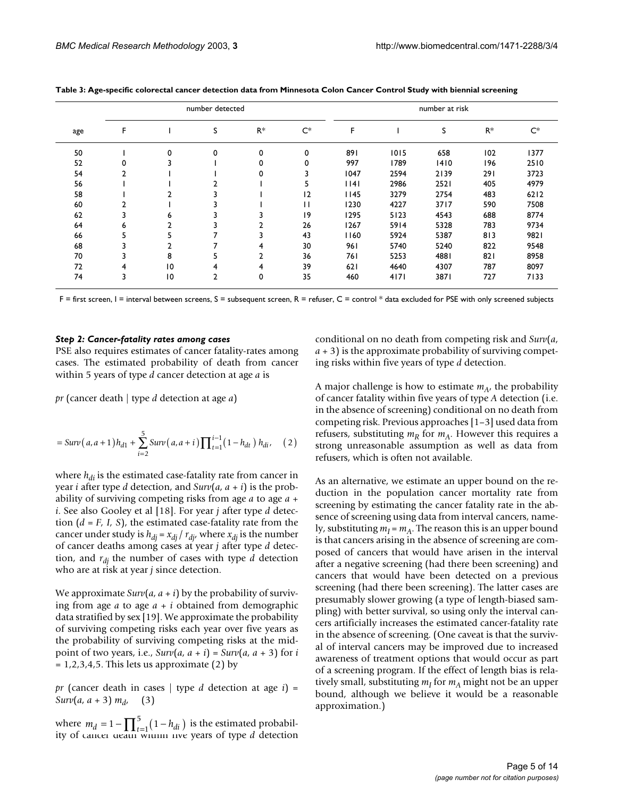|     |                |                | number detected |                |       | number at risk |      |      |       |       |  |  |
|-----|----------------|----------------|-----------------|----------------|-------|----------------|------|------|-------|-------|--|--|
| age | F              |                | s               | $R^*$          | $C^*$ | F              |      | S    | $R^*$ | $C^*$ |  |  |
| 50  |                | 0              | 0               | 0              | 0     | 891            | 1015 | 658  | 102   | 1377  |  |  |
| 52  | 0              |                |                 | 0              | 0     | 997            | 1789 | 1410 | 196   | 2510  |  |  |
| 54  | $\overline{2}$ |                |                 | 0              |       | 1047           | 2594 | 2139 | 291   | 3723  |  |  |
| 56  |                |                |                 |                | э     | 14             | 2986 | 2521 | 405   | 4979  |  |  |
| 58  |                | $\overline{2}$ |                 |                | 12    | 1145           | 3279 | 2754 | 483   | 6212  |  |  |
| 60  |                |                |                 |                | П     | 1230           | 4227 | 3717 | 590   | 7508  |  |  |
| 62  | 3              | 6              |                 | 3              | 9     | 1295           | 5123 | 4543 | 688   | 8774  |  |  |
| 64  | 6              | 2              |                 | $\overline{2}$ | 26    | 1267           | 5914 | 5328 | 783   | 9734  |  |  |
| 66  | כ              | 5              |                 | 3              | 43    | 1160           | 5924 | 5387 | 813   | 9821  |  |  |
| 68  |                | $\overline{2}$ |                 | 4              | 30    | 961            | 5740 | 5240 | 822   | 9548  |  |  |
| 70  |                | 8              |                 | $\overline{2}$ | 36    | 761            | 5253 | 4881 | 821   | 8958  |  |  |
| 72  | 4              | 10             | 4               | 4              | 39    | 621            | 4640 | 4307 | 787   | 8097  |  |  |
| 74  | 3              | 10             | 2               | 0              | 35    | 460            | 4171 | 3871 | 727   | 7133  |  |  |

<span id="page-4-0"></span>**Table 3: Age-specific colorectal cancer detection data from Minnesota Colon Cancer Control Study with biennial screening**

 $F =$  first screen,  $I =$  interval between screens,  $S =$  subsequent screen,  $R =$  refuser,  $C =$  control  $*$  data excluded for PSE with only screened subjects

#### *Step 2: Cancer-fatality rates among cases*

PSE also requires estimates of cancer fatality-rates among cases. The estimated probability of death from cancer within 5 years of type *d* cancer detection at age *a* is

*pr* (cancer death | type *d* detection at age *a*)

$$
= Surv(a,a+1)h_{d1} + \sum_{i=2}^{5} Surv(a,a+i)\prod_{t=1}^{i-1}(1-h_{dt})h_{di}, \quad (2)
$$

where  $h_{di}$  is the estimated case-fatality rate from cancer in year *i* after type *d* detection, and  $Surv(a, a + i)$  is the probability of surviving competing risks from age *a* to age *a* + *i*. See also Gooley et al [18]. For year *j* after type *d* detection  $(d = F, I, S)$ , the estimated case-fatality rate from the cancer under study is  $h_{di} = x_{di} / r_{di}$ , where  $x_{di}$  is the number of cancer deaths among cases at year *j* after type *d* detection, and *rdj* the number of cases with type *d* detection who are at risk at year *j* since detection.

We approximate  $\text{Surv}(a, a + i)$  by the probability of surviving from age *a* to age *a* + *i* obtained from demographic data stratified by sex [19]. We approximate the probability of surviving competing risks each year over five years as the probability of surviving competing risks at the midpoint of two years, i.e.,  $Surv(a, a + i) = Surv(a, a + 3)$  for *i*  $= 1, 2, 3, 4, 5$ . This lets us approximate (2) by

*pr* (cancer death in cases | type *d* detection at age *i*) = *Surv*(*a*, *a* + 3)  $m_d$ , (3)

where  $m_d = 1 - \prod_{t=1}^5 (1 - h_{di})$  is the estimated probability of cancer death within five years of type *d* detection conditional on no death from competing risk and *Surv*(*a*,  $a + 3$ ) is the approximate probability of surviving competing risks within five years of type *d* detection.

A major challenge is how to estimate  $m_A$ , the probability of cancer fatality within five years of type *A* detection (i.e. in the absence of screening) conditional on no death from competing risk. Previous approaches [1–3] used data from refusers, substituting  $m_R$  for  $m_A$ . However this requires a strong unreasonable assumption as well as data from refusers, which is often not available.

As an alternative, we estimate an upper bound on the reduction in the population cancer mortality rate from screening by estimating the cancer fatality rate in the absence of screening using data from interval cancers, namely, substituting  $m_I = m_A$ . The reason this is an upper bound is that cancers arising in the absence of screening are composed of cancers that would have arisen in the interval after a negative screening (had there been screening) and cancers that would have been detected on a previous screening (had there been screening). The latter cases are presumably slower growing (a type of length-biased sampling) with better survival, so using only the interval cancers artificially increases the estimated cancer-fatality rate in the absence of screening. (One caveat is that the survival of interval cancers may be improved due to increased awareness of treatment options that would occur as part of a screening program. If the effect of length bias is relatively small, substituting  $m<sub>I</sub>$  for  $m<sub>A</sub>$  might not be an upper bound, although we believe it would be a reasonable approximation.)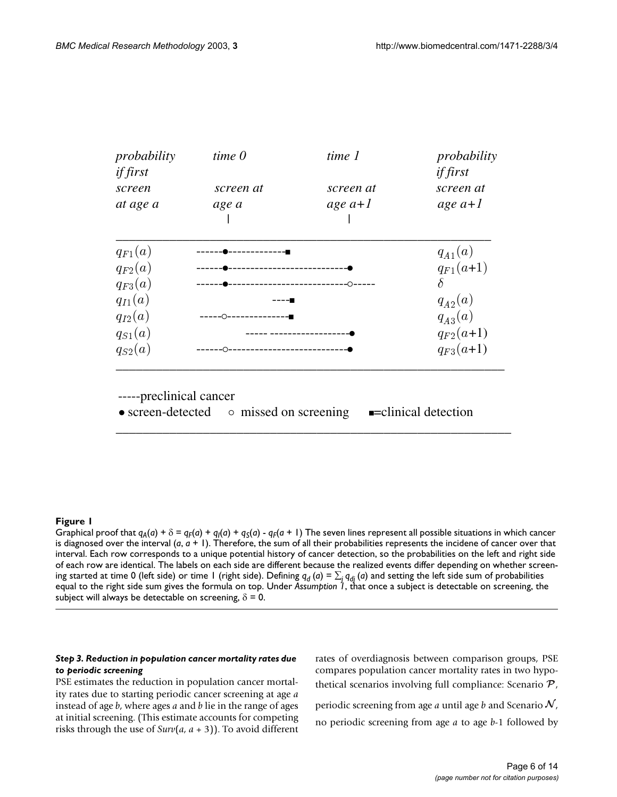<span id="page-5-0"></span>

| probability                                          | time 0                      | time 1    | probability<br><i>if first</i> |
|------------------------------------------------------|-----------------------------|-----------|--------------------------------|
| <i>if first</i><br>screen                            | screen at                   | screen at | screen at                      |
| at age a                                             | age a                       | age $a+1$ | age $a+1$                      |
| $q_{F1}(a)$                                          |                             |           | $q_{A1}(a)$                    |
| $q_{F2}(a)$                                          |                             |           | $q_{F1}(a+1)$                  |
| $q_{F3}(a)$                                          |                             |           | $\delta$                       |
| $q_{I1}(a)$                                          |                             |           | $q_{A2}(a)$                    |
| $q_{I2}(a)$                                          |                             |           | $q_{A3}(a)$                    |
| $q_{S1}(a)$                                          |                             |           | $q_{F2}(a+1)$                  |
| $q_{S2}(a)$                                          |                             |           | $q_{F3}(a+1)$                  |
| -----preclinical cancer<br>$\bullet$ screen-detected | $\circ$ missed on screening |           | <b>-</b> clinical detection    |

## **Figure 1**

Graphical proof that  $q_A(a) + \delta = q_F(a) + q_I(a) + q_S(a) - q_F(a+1)$  The seven lines represent all possible situations in which cancer is diagnosed over the interval (*a*, *a* + 1). Therefore, the sum of all their probabilities represents the incidene of cancer over that interval. Each row corresponds to a unique potential history of cancer detection, so the probabilities on the left and right side of each row are identical. The labels on each side are different because the realized events differ depending on whether screening started at time 0 (left side) or time 1 (right side). Defining  $q_d$  (*a*) =  $\sum_j q_{dj}$  (*a*) and setting the left side sum of probabilities equal to the right side sum gives the formula on top. Under *Assumption 1*, that once a subject is detectable on screening, the subject will always be detectable on screening,  $\delta = 0$ .

## *Step 3. Reduction in population cancer mortality rates due to periodic screening*

PSE estimates the reduction in population cancer mortality rates due to starting periodic cancer screening at age *a* instead of age *b*, where ages *a* and *b* lie in the range of ages at initial screening. (This estimate accounts for competing risks through the use of *Surv*(*a*, *a* + 3)). To avoid different rates of overdiagnosis between comparison groups, PSE compares population cancer mortality rates in two hypothetical scenarios involving full compliance: Scenario  $P$ ,

periodic screening from age  $a$  until age  $b$  and Scenario  ${\cal N}_a$ no periodic screening from age *a* to age *b*-1 followed by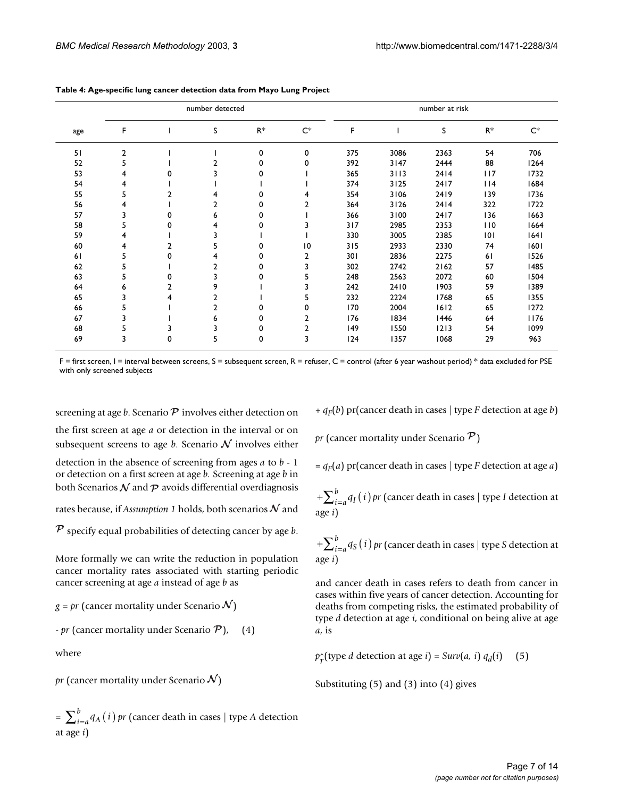|     |                |   | number detected |          |                | number at risk |      |        |        |       |  |  |
|-----|----------------|---|-----------------|----------|----------------|----------------|------|--------|--------|-------|--|--|
| age | F              |   | S               | $R^*$    | $C^*$          | F              |      | S      | $R^*$  | $C^*$ |  |  |
| 51  | $\overline{2}$ |   |                 | 0        | 0              | 375            | 3086 | 2363   | 54     | 706   |  |  |
| 52  | 5              |   |                 | 0        | 0              | 392            | 3147 | 2444   | 88     | 1264  |  |  |
| 53  | 4              |   |                 | 0        |                | 365            | 3113 | 2414   | 117    | 1732  |  |  |
| 54  | 4              |   |                 |          |                | 374            | 3125 | 2417   | $ $  4 | 1684  |  |  |
| 55  | 5              | 2 |                 | $\Omega$ | 4              | 354            | 3106 | 2419   | 139    | 1736  |  |  |
| 56  | 4              |   | 2               | 0        | 2              | 364            | 3126 | 2414   | 322    | 1722  |  |  |
| 57  | 3              | 0 | 6               | 0        |                | 366            | 3100 | 2417   | 136    | 1663  |  |  |
| 58  | 5              | 0 | 4               | 0        |                | 317            | 2985 | 2353   | 110    | 1664  |  |  |
| 59  | 4              |   |                 |          |                | 330            | 3005 | 2385   | 101    | 1641  |  |  |
| 60  | 4              | 2 |                 | 0        | 10             | 315            | 2933 | 2330   | 74     | 1601  |  |  |
| 61  | 5              | U | 4               | 0        | $\overline{2}$ | 301            | 2836 | 2275   | 61     | 1526  |  |  |
| 62  | 5              |   | $\mathbf{2}$    | 0        | 3              | 302            | 2742 | 2162   | 57     | 1485  |  |  |
| 63  | 5              | 0 |                 | 0        | 5              | 248            | 2563 | 2072   | 60     | 1504  |  |  |
| 64  | 6              | 2 | 9               |          |                | 242            | 2410 | 1903   | 59     | 1389  |  |  |
| 65  | 3              | 4 | $\overline{2}$  |          | 5              | 232            | 2224 | 1768   | 65     | 1355  |  |  |
| 66  | 5              |   | $\mathbf{2}$    | 0        | 0              | 170            | 2004 | 1612   | 65     | 1272  |  |  |
| 67  | 3              |   | 6               | 0        | 2              | 176            | 1834 | 1446   | 64     | 1176  |  |  |
| 68  |                |   |                 | 0        |                | 149            | 1550 | $1213$ | 54     | 1099  |  |  |
| 69  | 3              | 0 | 5               | 0        | 3              | 124            | 1357 | 1068   | 29     | 963   |  |  |

<span id="page-6-0"></span>**Table 4: Age-specific lung cancer detection data from Mayo Lung Project**

 $F =$  first screen,  $I =$  interval between screens,  $S =$  subsequent screen,  $R =$  refuser,  $C =$  control (after 6 year washout period)  $*$  data excluded for PSE with only screened subjects

screening at age  $b$ . Scenario  $\overline{\mathcal{P}}$  involves either detection on the first screen at age *a* or detection in the interval or on subsequent screens to age *b*. Scenario  $\mathcal N$  involves either

detection in the absence of screening from ages *a* to *b* - 1 or detection on a first screen at age *b.* Screening at age *b* in both Scenarios  ${\cal N}$  and  ${\cal P}$  avoids differential overdiagnosis

rates because, if Assumption 1 holds, both scenarios  ${\cal N}$  and

 $\overline{P}$  specify equal probabilities of detecting cancer by age *b*.

More formally we can write the reduction in population cancer mortality rates associated with starting periodic cancer screening at age *a* instead of age *b* as

 $g$  =  $\emph{pr}$  (cancer mortality under Scenario  $\mathcal{N})$ 

 $- pr$  (cancer mortality under Scenario  $P$ ), (4)

where

 ${\it pr}$  (cancer mortality under Scenario  ${\cal N})$ 

 $=\sum_{i=a}^{b} q_{A}(i)$  *pr* (cancer death in cases | type *A* detection at age *i*)

 $+ q_F(b)$  pr(cancer death in cases | type *F* detection at age *b*)

 ${\it pr}$  (cancer mortality under Scenario  ${\it P}$ )

 $= q_F(a)$  pr(cancer death in cases | type *F* detection at age *a*)

 $+\sum_{i=a}^{b} q_i(i)$   $\emph{pr}$  (cancer death in cases | type *I* detection at age *i*)

 $+\sum_{i=a}^{b}q_{S}\left( i\right) p$ r (cancer death in cases | type *S* detection at age *i*)

and cancer death in cases refers to death from cancer in cases within five years of cancer detection. Accounting for deaths from competing risks, the estimated probability of type *d* detection at age *i*, conditional on being alive at age *a*, is

 $p_{\Upsilon}^{\wedge}$ (type *d* detection at age *i*) = *Surv*(*a*, *i*) *q*<sub>*d*</sub>(*i*) (5)

Substituting (5) and (3) into (4) gives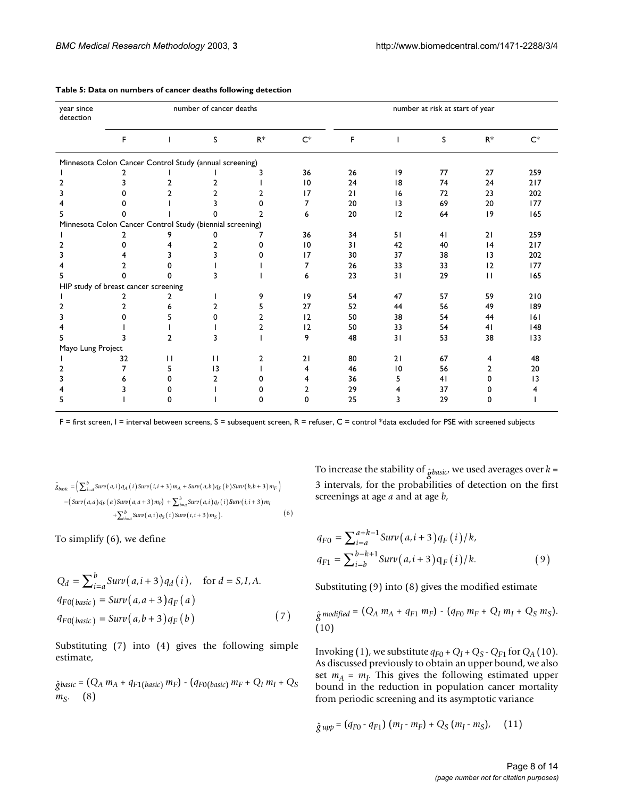| year since<br>detection                                   | number of cancer deaths |              |                 |      |       | number at risk at start of year |                 |    |                 |                 |  |
|-----------------------------------------------------------|-------------------------|--------------|-----------------|------|-------|---------------------------------|-----------------|----|-----------------|-----------------|--|
|                                                           | F                       | -1           | S               | $R*$ | $C^*$ | F                               | $\mathbf{I}$    | S  | $R^*$           | $C^*$           |  |
| Minnesota Colon Cancer Control Study (annual screening)   |                         |              |                 |      |       |                                 |                 |    |                 |                 |  |
|                                                           |                         |              |                 |      | 36    | 26                              | 9               | 77 | 27              | 259             |  |
| 2                                                         | 3                       |              | 2               |      | 10    | 24                              | 18              | 74 | 24              | 217             |  |
| 3                                                         | 0                       | 2            |                 |      | 17    | 21                              | 16              | 72 | 23              | 202             |  |
|                                                           |                         |              |                 |      | 7     | 20                              | $\overline{13}$ | 69 | 20              | 177             |  |
|                                                           |                         |              |                 |      | 6     | 20                              | 12              | 64 | 9               | 165             |  |
| Minnesota Colon Cancer Control Study (biennial screening) |                         |              |                 |      |       |                                 |                 |    |                 |                 |  |
|                                                           |                         |              | o               |      | 36    | 34                              | 51              | 41 | 21              | 259             |  |
| 2                                                         | 0                       |              | 2               | 0    | 10    | 31                              | 42              | 40 | 4               | 217             |  |
|                                                           | 4                       |              |                 |      | 17    | 30                              | 37              | 38 | $\overline{13}$ | 202             |  |
|                                                           | 2                       |              |                 |      | 7     | 26                              | 33              | 33 | 12              | 177             |  |
|                                                           | 0                       | 0            | 3               |      | 6     | 23                              | 31              | 29 | $\mathbf{1}$    | 165             |  |
| HIP study of breast cancer screening                      |                         |              |                 |      |       |                                 |                 |    |                 |                 |  |
|                                                           | 2                       |              |                 | 9    | 9     | 54                              | 47              | 57 | 59              | 210             |  |
|                                                           |                         |              | 2               |      | 27    | 52                              | 44              | 56 | 49              | 189             |  |
|                                                           | U                       |              | O               |      | 12    | 50                              | 38              | 54 | 44              | 6               |  |
|                                                           |                         |              |                 |      | 12    | 50                              | 33              | 54 | 41              | 148             |  |
|                                                           |                         | 2            | 3               |      | 9     | 48                              | 31              | 53 | 38              | 133             |  |
| Mayo Lung Project                                         |                         |              |                 |      |       |                                 |                 |    |                 |                 |  |
|                                                           | 32                      | $\mathbf{H}$ | $\mathbf{H}$    | 2    | 21    | 80                              | 21              | 67 | 4               | 48              |  |
| 2                                                         | 7                       | 5.           | $\overline{13}$ |      | 4     | 46                              | 10              | 56 | 2               | 20              |  |
|                                                           |                         | o            | 2               |      | 4     | 36                              | 5               | 41 | 0               | $\overline{13}$ |  |
|                                                           |                         | o            |                 |      | 2     | 29                              | 4               | 37 |                 |                 |  |
|                                                           |                         | n            |                 | 0    | 0     | 25                              | 3               | 29 | n               |                 |  |

#### <span id="page-7-0"></span>**Table 5: Data on numbers of cancer deaths following detection**

 $F =$  first screen,  $I =$  interval between screens,  $S =$  subsequent screen,  $R =$  refuser,  $C =$  control \*data excluded for PSE with screened subjects

$$
\hat{g}_{basic} = \left(\sum_{i=a}^{b} \text{Surv}(a,i) q_A(i) \text{Surv}(i,i+3) m_A + \text{Surv}(a,b) q_F(b) \text{Surv}(b,b+3) m_F\right) - \left(\text{Surv}(a,a) q_F(a) \text{Surv}(a,a+3) m_F\right) + \sum_{i=a}^{b} \text{Surv}(a,i) q_I(i) \text{Surv}(i,i+3) m_I + \sum_{i=a}^{b} \text{Surv}(a,i) q_S(i) \text{Surv}(i,i+3) m_S\right).
$$
 (6)

To simplify (6), we define

$$
Q_d = \sum_{i=a}^{b} Surv(a, i+3)q_d(i), \text{ for } d = S, I, A.
$$
  
\n
$$
q_{F0(basic)} = Surv(a, a+3)q_F(a)
$$
  
\n
$$
q_{F0(basic)} = Surv(a, b+3)q_F(b)
$$
\n(7)

Substituting (7) into (4) gives the following simple estimate,

 $\hat{g}_{basic} = (Q_A \, m_A + q_{F1(basic)} \, m_F) - (q_{F0(basic)} \, m_F + Q_I \, m_I + Q_S)$ *mS*. (8)

To increase the stability of  $_{\hat{g}basic'}$  we used averages over  $k=$ 3 intervals, for the probabilities of detection on the first screenings at age *a* and at age *b*,

$$
q_{F0} = \sum_{i=a}^{a+k-1} \text{Surv}(a, i+3) q_F(i)/k,
$$
  

$$
q_{F1} = \sum_{i=b}^{b-k+1} \text{Surv}(a, i+3) q_F(i)/k.
$$
 (9)

Substituting (9) into (8) gives the modified estimate

$$
\hat{g} \text{ modified} = (Q_A \ m_A + q_{F1} \ m_F) - (q_{F0} \ m_F + Q_I \ m_I + Q_S \ m_S).
$$
\n(10)

Invoking (1), we substitute  $q_{F0}$  +  $Q_I$  +  $Q_S$  -  $Q_{F1}$  for  $Q_A$  (10). As discussed previously to obtain an upper bound, we also set  $m_A = m_I$ . This gives the following estimated upper bound in the reduction in population cancer mortality from periodic screening and its asymptotic variance

$$
\hat{g} \, \text{upp} = (q_{F0} - q_{F1}) \, (m_I - m_F) + Q_S \, (m_I - m_S), \quad (11)
$$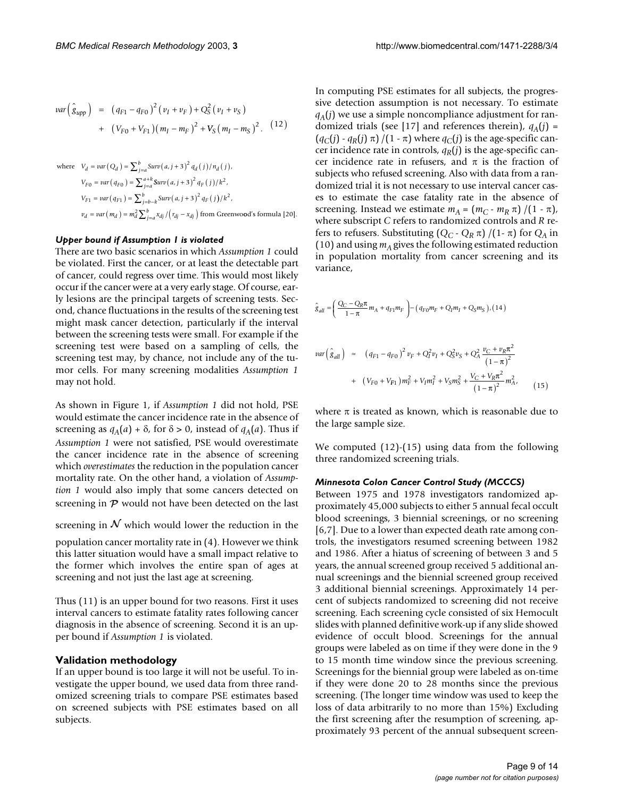$$
var\left(\hat{g}_{upp}\right) = (q_{F1} - q_{F0})^2 (v_I + v_F) + Q_S^2 (v_I + v_S)
$$
  
+ 
$$
(V_{F0} + V_{F1})(m_I - m_F)^2 + V_S (m_I - m_S)^2.
$$
 (12)

where 
$$
V_d = var(Q_d) = \sum_{j=a}^{b} Surv(a, j+3)^2 q_d(j)/n_d(j)
$$
,  
\n
$$
V_{F0} = var(q_{F0}) = \sum_{j=a}^{a+k} Surv(a, j+3)^2 q_F(j)/k^2,
$$
\n
$$
V_{F1} = var(q_{F1}) = \sum_{j=b-k}^{b} Surv(a, j+3)^2 q_F(j)/k^2,
$$
\n
$$
v_d = var(m_d) = m_d^2 \sum_{j=a}^{b} x_{dj} / (r_{dj} - x_{dj}) \text{ from Greenwood's formula [20].}
$$

#### *Upper bound if Assumption 1 is violated*

There are two basic scenarios in which *Assumption 1* could be violated. First the cancer, or at least the detectable part of cancer, could regress over time. This would most likely occur if the cancer were at a very early stage. Of course, early lesions are the principal targets of screening tests. Second, chance fluctuations in the results of the screening test might mask cancer detection, particularly if the interval between the screening tests were small. For example if the screening test were based on a sampling of cells, the screening test may, by chance, not include any of the tumor cells. For many screening modalities *Assumption 1* may not hold.

As shown in Figure [1,](#page-5-0) if *Assumption 1* did not hold, PSE would estimate the cancer incidence rate in the absence of screening as  $q_A(a) + \delta$ , for  $\delta > 0$ , instead of  $q_A(a)$ . Thus if *Assumption 1* were not satisfied, PSE would overestimate the cancer incidence rate in the absence of screening which *overestimates* the reduction in the population cancer mortality rate. On the other hand, a violation of *Assumption 1* would also imply that some cancers detected on screening in  $P$  would not have been detected on the last

screening in  ${\cal N}$  which would lower the reduction in the

population cancer mortality rate in (4). However we think this latter situation would have a small impact relative to the former which involves the entire span of ages at screening and not just the last age at screening.

Thus (11) is an upper bound for two reasons. First it uses interval cancers to estimate fatality rates following cancer diagnosis in the absence of screening. Second it is an upper bound if *Assumption 1* is violated.

#### **Validation methodology**

If an upper bound is too large it will not be useful. To investigate the upper bound, we used data from three randomized screening trials to compare PSE estimates based on screened subjects with PSE estimates based on all subjects.

In computing PSE estimates for all subjects, the progressive detection assumption is not necessary. To estimate  $q_A(j)$  we use a simple noncompliance adjustment for randomized trials (see [17] and references therein),  $q_A(j)$  =  $(q_C(j) - q_R(j) \pi)/(1 - \pi)$  where  $q_C(j)$  is the age-specific cancer incidence rate in controls,  $q_R(i)$  is the age-specific cancer incidence rate in refusers, and  $\pi$  is the fraction of subjects who refused screening. Also with data from a randomized trial it is not necessary to use interval cancer cases to estimate the case fatality rate in the absence of screening. Instead we estimate  $m_A = (m_C - m_R \pi) / (1 - \pi)$ , where subscript *C* refers to randomized controls and *R* refers to refusers. Substituting  $(Q_C - Q_R \pi) / (1 - \pi)$  for  $Q_A$  in (10) and using  $m_A$  gives the following estimated reduction in population mortality from cancer screening and its variance,

$$
\hat{g}_{all} = \left(\frac{Q_C - Q_R \pi}{1 - \pi} m_A + q_{F1} m_F\right) - (q_{F0} m_F + Q_I m_I + Q_S m_S) / (14)
$$
\n
$$
var\left(\hat{g}_{all}\right) \approx (q_{F1} - q_{F0})^2 v_F + Q_I^2 v_I + Q_S^2 v_S + Q_A^2 \frac{v_C + v_R \pi^2}{(1 - \pi)^2}
$$
\n
$$
+ (V_{F0} + V_{F1}) m_F^2 + V_I m_I^2 + V_S m_S^2 + \frac{V_C + V_R \pi^2}{(1 - \pi)^2} m_A^2, \qquad (15)
$$

where  $\pi$  is treated as known, which is reasonable due to the large sample size.

We computed (12)-(15) using data from the following three randomized screening trials.

#### *Minnesota Colon Cancer Control Study (MCCCS)*

Between 1975 and 1978 investigators randomized approximately 45,000 subjects to either 5 annual fecal occult blood screenings, 3 biennial screenings, or no screening [6,7]. Due to a lower than expected death rate among controls, the investigators resumed screening between 1982 and 1986. After a hiatus of screening of between 3 and 5 years, the annual screened group received 5 additional annual screenings and the biennial screened group received 3 additional biennial screenings. Approximately 14 percent of subjects randomized to screening did not receive screening. Each screening cycle consisted of six Hemocult slides with planned definitive work-up if any slide showed evidence of occult blood. Screenings for the annual groups were labeled as on time if they were done in the 9 to 15 month time window since the previous screening. Screenings for the biennial group were labeled as on-time if they were done 20 to 28 months since the previous screening. (The longer time window was used to keep the loss of data arbitrarily to no more than 15%) Excluding the first screening after the resumption of screening, approximately 93 percent of the annual subsequent screen-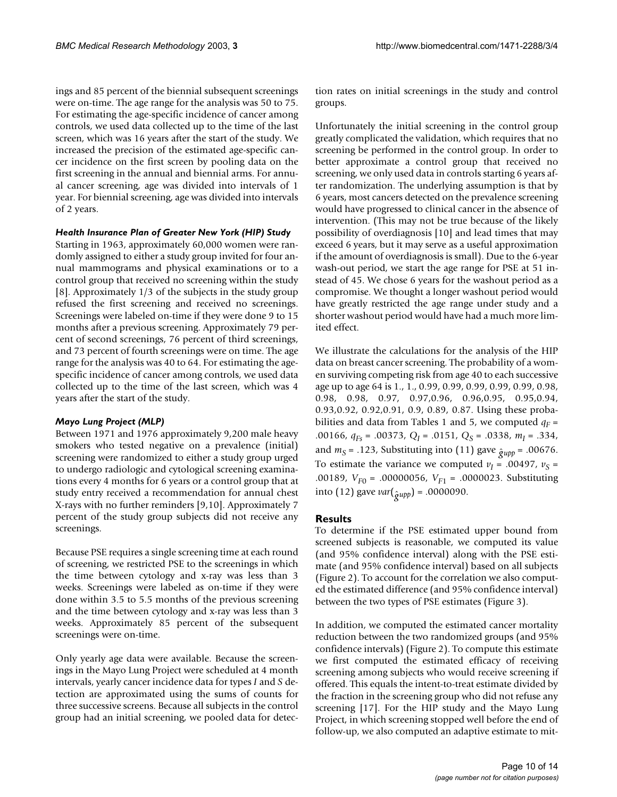ings and 85 percent of the biennial subsequent screenings were on-time. The age range for the analysis was 50 to 75. For estimating the age-specific incidence of cancer among controls, we used data collected up to the time of the last screen, which was 16 years after the start of the study. We increased the precision of the estimated age-specific cancer incidence on the first screen by pooling data on the first screening in the annual and biennial arms. For annual cancer screening, age was divided into intervals of 1 year. For biennial screening, age was divided into intervals of 2 years.

#### *Health Insurance Plan of Greater New York (HIP) Study*

Starting in 1963, approximately 60,000 women were randomly assigned to either a study group invited for four annual mammograms and physical examinations or to a control group that received no screening within the study [8]. Approximately 1/3 of the subjects in the study group refused the first screening and received no screenings. Screenings were labeled on-time if they were done 9 to 15 months after a previous screening. Approximately 79 percent of second screenings, 76 percent of third screenings, and 73 percent of fourth screenings were on time. The age range for the analysis was 40 to 64. For estimating the agespecific incidence of cancer among controls, we used data collected up to the time of the last screen, which was 4 years after the start of the study.

#### *Mayo Lung Project (MLP)*

Between 1971 and 1976 approximately 9,200 male heavy smokers who tested negative on a prevalence (initial) screening were randomized to either a study group urged to undergo radiologic and cytological screening examinations every 4 months for 6 years or a control group that at study entry received a recommendation for annual chest X-rays with no further reminders [9,10]. Approximately 7 percent of the study group subjects did not receive any screenings.

Because PSE requires a single screening time at each round of screening, we restricted PSE to the screenings in which the time between cytology and x-ray was less than 3 weeks. Screenings were labeled as on-time if they were done within 3.5 to 5.5 months of the previous screening and the time between cytology and x-ray was less than 3 weeks. Approximately 85 percent of the subsequent screenings were on-time.

Only yearly age data were available. Because the screenings in the Mayo Lung Project were scheduled at 4 month intervals, yearly cancer incidence data for types *I* and *S* detection are approximated using the sums of counts for three successive screens. Because all subjects in the control group had an initial screening, we pooled data for detection rates on initial screenings in the study and control groups.

Unfortunately the initial screening in the control group greatly complicated the validation, which requires that no screening be performed in the control group. In order to better approximate a control group that received no screening, we only used data in controls starting 6 years after randomization. The underlying assumption is that by 6 years, most cancers detected on the prevalence screening would have progressed to clinical cancer in the absence of intervention. (This may not be true because of the likely possibility of overdiagnosis [10] and lead times that may exceed 6 years, but it may serve as a useful approximation if the amount of overdiagnosis is small). Due to the 6-year wash-out period, we start the age range for PSE at 51 instead of 45. We chose 6 years for the washout period as a compromise. We thought a longer washout period would have greatly restricted the age range under study and a shorter washout period would have had a much more limited effect.

We illustrate the calculations for the analysis of the HIP data on breast cancer screening. The probability of a women surviving competing risk from age 40 to each successive age up to age 64 is 1., 1., 0.99, 0.99, 0.99, 0.99, 0.99, 0.98, 0.98, 0.98, 0.97, 0.97,0.96, 0.96,0.95, 0.95,0.94, 0.93,0.92, 0.92,0.91, 0.9, 0.89, 0.87. Using these proba-bilities and data from Tables [1](#page-2-0) and [5](#page-7-0), we computed  $q_F =$ .00166, *qFs* = .00373, *QI* = .0151, *QS* = .0338, *mI* = .334, and  $m_S$  = .123, Substituting into (11) gave  $\hat{g}_{\mu\nu\rho}$  = .00676. To estimate the variance we computed  $v_I = .00497$ ,  $v_S =$ .00189, *VF*0 = .00000056, *VF*1 = .0000023. Substituting into (12) gave *var*( $_{\hat{g}upp}$ ) = .0000090.

#### **Results**

To determine if the PSE estimated upper bound from screened subjects is reasonable, we computed its value (and 95% confidence interval) along with the PSE estimate (and 95% confidence interval) based on all subjects (Figure 2). To account for the correlation we also computed the estimated difference (and 95% confidence interval) between the two types of PSE estimates (Figure 3).

In addition, we computed the estimated cancer mortality reduction between the two randomized groups (and 95% confidence intervals) (Figure 2). To compute this estimate we first computed the estimated efficacy of receiving screening among subjects who would receive screening if offered. This equals the intent-to-treat estimate divided by the fraction in the screening group who did not refuse any screening [17]. For the HIP study and the Mayo Lung Project, in which screening stopped well before the end of follow-up, we also computed an adaptive estimate to mit-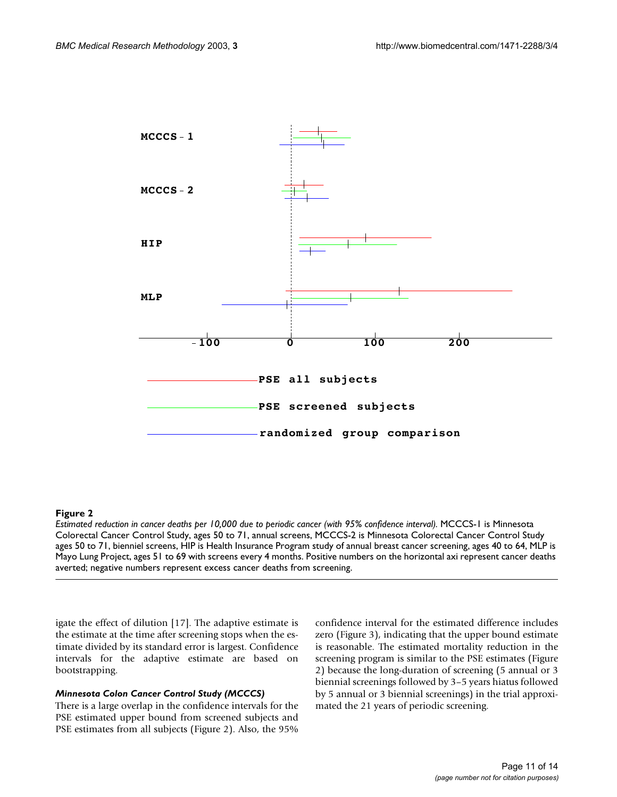

## **Figure 2**

*Estimated reduction in cancer deaths per 10,000 due to periodic cancer (with 95% confidence interval).* MCCCS-1 is Minnesota Colorectal Cancer Control Study, ages 50 to 71, annual screens, MCCCS-2 is Minnesota Colorectal Cancer Control Study ages 50 to 71, bienniel screens, HIP is Health Insurance Program study of annual breast cancer screening, ages 40 to 64, MLP is Mayo Lung Project, ages 51 to 69 with screens every 4 months. Positive numbers on the horizontal axi represent cancer deaths averted; negative numbers represent excess cancer deaths from screening.

igate the effect of dilution [17]. The adaptive estimate is the estimate at the time after screening stops when the estimate divided by its standard error is largest. Confidence intervals for the adaptive estimate are based on bootstrapping.

## *Minnesota Colon Cancer Control Study (MCCCS)*

There is a large overlap in the confidence intervals for the PSE estimated upper bound from screened subjects and PSE estimates from all subjects (Figure 2). Also, the 95% confidence interval for the estimated difference includes zero (Figure 3), indicating that the upper bound estimate is reasonable. The estimated mortality reduction in the screening program is similar to the PSE estimates (Figure 2) because the long-duration of screening (5 annual or 3 biennial screenings followed by 3–5 years hiatus followed by 5 annual or 3 biennial screenings) in the trial approximated the 21 years of periodic screening.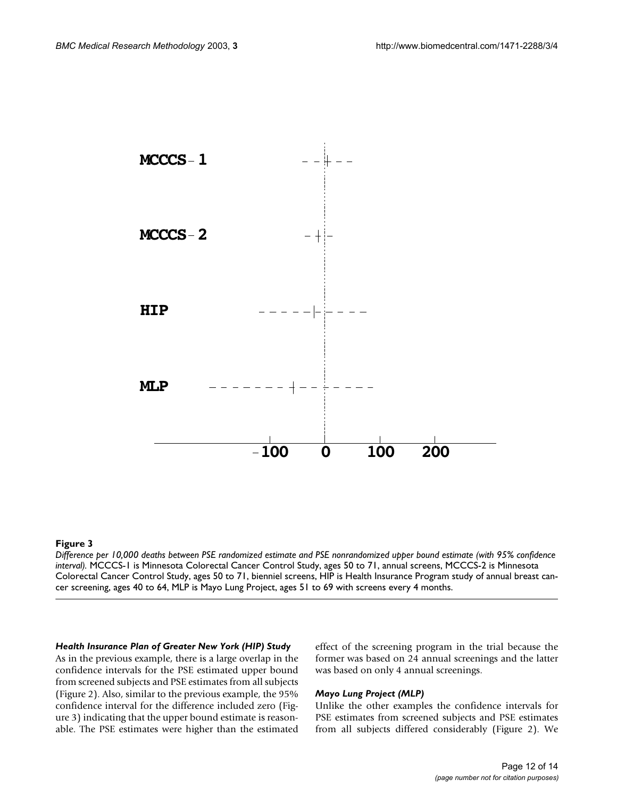

## **Figure 3**

*Difference per 10,000 deaths between PSE randomized estimate and PSE nonrandomized upper bound estimate (with 95% confidence interval).* MCCCS-1 is Minnesota Colorectal Cancer Control Study, ages 50 to 71, annual screens, MCCCS-2 is Minnesota Colorectal Cancer Control Study, ages 50 to 71, bienniel screens, HIP is Health Insurance Program study of annual breast cancer screening, ages 40 to 64, MLP is Mayo Lung Project, ages 51 to 69 with screens every 4 months.

## *Health Insurance Plan of Greater New York (HIP) Study*

As in the previous example, there is a large overlap in the confidence intervals for the PSE estimated upper bound from screened subjects and PSE estimates from all subjects (Figure 2). Also, similar to the previous example, the 95% confidence interval for the difference included zero (Figure 3) indicating that the upper bound estimate is reasonable. The PSE estimates were higher than the estimated effect of the screening program in the trial because the former was based on 24 annual screenings and the latter was based on only 4 annual screenings.

#### *Mayo Lung Project (MLP)*

Unlike the other examples the confidence intervals for PSE estimates from screened subjects and PSE estimates from all subjects differed considerably (Figure 2). We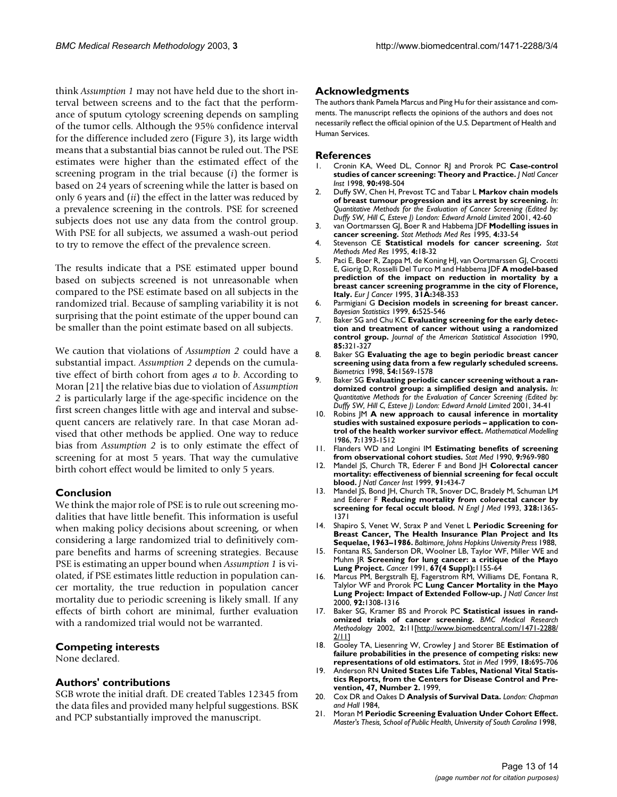think *Assumption 1* may not have held due to the short interval between screens and to the fact that the performance of sputum cytology screening depends on sampling of the tumor cells. Although the 95% confidence interval for the difference included zero (Figure 3), its large width means that a substantial bias cannot be ruled out. The PSE estimates were higher than the estimated effect of the screening program in the trial because (*i*) the former is based on 24 years of screening while the latter is based on only 6 years and (*ii*) the effect in the latter was reduced by a prevalence screening in the controls. PSE for screened subjects does not use any data from the control group. With PSE for all subjects, we assumed a wash-out period to try to remove the effect of the prevalence screen.

The results indicate that a PSE estimated upper bound based on subjects screened is not unreasonable when compared to the PSE estimate based on all subjects in the randomized trial. Because of sampling variability it is not surprising that the point estimate of the upper bound can be smaller than the point estimate based on all subjects.

We caution that violations of *Assumption 2* could have a substantial impact. *Assumption 2* depends on the cumulative effect of birth cohort from ages *a* to *b*. According to Moran [21] the relative bias due to violation of *Assumption 2* is particularly large if the age-specific incidence on the first screen changes little with age and interval and subsequent cancers are relatively rare. In that case Moran advised that other methods be applied. One way to reduce bias from *Assumption 2* is to only estimate the effect of screening for at most 5 years. That way the cumulative birth cohort effect would be limited to only 5 years.

## **Conclusion**

We think the major role of PSE is to rule out screening modalities that have little benefit. This information is useful when making policy decisions about screening, or when considering a large randomized trial to definitively compare benefits and harms of screening strategies. Because PSE is estimating an upper bound when *Assumption 1* is violated, if PSE estimates little reduction in population cancer mortality, the true reduction in population cancer mortality due to periodic screening is likely small. If any effects of birth cohort are minimal, further evaluation with a randomized trial would not be warranted.

#### **Competing interests**

None declared.

#### **Authors' contributions**

SGB wrote the initial draft. DE created Tables [1](#page-2-0)[2](#page-3-0)[3](#page-4-0)[4](#page-6-0)[5](#page-7-0) from the data files and provided many helpful suggestions. BSK and PCP substantially improved the manuscript.

#### **Acknowledgments**

The authors thank Pamela Marcus and Ping Hu for their assistance and comments. The manuscript reflects the opinions of the authors and does not necessarily reflect the official opinion of the U.S. Department of Health and Human Services.

#### **References**

- 1. Cronin KA, Weed DL, Connor RJ and Prorok PC **[Case-control](http://www.ncbi.nlm.nih.gov/entrez/query.fcgi?cmd=Retrieve&db=PubMed&dopt=Abstract&list_uids=9539244) [studies of cancer screening: Theory and Practice.](http://www.ncbi.nlm.nih.gov/entrez/query.fcgi?cmd=Retrieve&db=PubMed&dopt=Abstract&list_uids=9539244)** *J Natl Cancer Inst* 1998, **90:**498-504
- 2. Duffy SW, Chen H, Prevost TC and Tabar L **Markov chain models of breast tumour progression and its arrest by screening.** *In: Quantitative Methods for the Evaluation of Cancer Screening (Edited by: Duffy SW, Hill C, Esteve J) London: Edward Arnold Limited* 2001, 42-60
- 3. van Oortmarssen GJ, Boer R and Habbema JDF **[Modelling issues in](http://www.ncbi.nlm.nih.gov/entrez/query.fcgi?cmd=Retrieve&db=PubMed&dopt=Abstract&list_uids=7613637) [cancer screening.](http://www.ncbi.nlm.nih.gov/entrez/query.fcgi?cmd=Retrieve&db=PubMed&dopt=Abstract&list_uids=7613637)** *Stat Methods Med Res* 1995, **4:**33-54
- 4. Stevenson CE **[Statistical models for cancer screening.](http://www.ncbi.nlm.nih.gov/entrez/query.fcgi?cmd=Retrieve&db=PubMed&dopt=Abstract&list_uids=7613635)** *Stat Methods Med Res* 1995, **4:**18-32
- 5. Paci E, Boer R, Zappa M, de Koning HJ, van Oortmarssen GJ, Crocetti E, Giorig D, Rosselli Del Turco M and Habbema JDF **[A model-based](http://www.ncbi.nlm.nih.gov/entrez/query.fcgi?cmd=Retrieve&db=PubMed&dopt=Abstract&list_uids=7786600) [prediction of the impact on reduction in mortality by a](http://www.ncbi.nlm.nih.gov/entrez/query.fcgi?cmd=Retrieve&db=PubMed&dopt=Abstract&list_uids=7786600) breast cancer screening programme in the city of Florence, [Italy.](http://www.ncbi.nlm.nih.gov/entrez/query.fcgi?cmd=Retrieve&db=PubMed&dopt=Abstract&list_uids=7786600)** *Eur J Cancer* 1995, **31A:**348-353
- 6. Parmigiani G **Decision models in screening for breast cancer.** *Bayesian Statistiics* 1999, **6:**525-546
- 7. Baker SG and Chu KC **Evaluating screening for the early detection and treatment of cancer without using a randomized control group.** *Journal of the American Statistical Association* 1990, **85:**321-327
- 8. Baker SG **[Evaluating the age to begin periodic breast cancer](http://www.ncbi.nlm.nih.gov/entrez/query.fcgi?cmd=Retrieve&db=PubMed&dopt=Abstract&list_uids=9883553) [screening using data from a few regularly scheduled screens.](http://www.ncbi.nlm.nih.gov/entrez/query.fcgi?cmd=Retrieve&db=PubMed&dopt=Abstract&list_uids=9883553)** *Biometrics* 1998, **54:**1569-1578
- Baker SG Evaluating periodic cancer screening without a ran**domized control group: a simplified design and analysis.** *In: Quantitative Methods for the Evaluation of Cancer Screening (Edited by: Duffy SW, Hill C, Esteve J) London: Edward Arnold Limited* 2001, 34-41
- 10. Robins JM **A new approach to causal inference in mortality studies with sustained exposure periods – application to control of the health worker survivor effect.** *Mathematical Modelling* 1986, **7:**1393-1512
- 11. Flanders WD and Longini IM **[Estimating benefits of screening](http://www.ncbi.nlm.nih.gov/entrez/query.fcgi?cmd=Retrieve&db=PubMed&dopt=Abstract&list_uids=2218198) [from observational cohort studies.](http://www.ncbi.nlm.nih.gov/entrez/query.fcgi?cmd=Retrieve&db=PubMed&dopt=Abstract&list_uids=2218198)** *Stat Med* 1990, **9:**969-980
- 12. Mandel JS, Church TR, Ederer F and Bond JH **[Colorectal cancer](http://www.ncbi.nlm.nih.gov/entrez/query.fcgi?cmd=Retrieve&db=PubMed&dopt=Abstract&list_uids=10070942) [mortality: effectiveness of biennial screening for fecal occult](http://www.ncbi.nlm.nih.gov/entrez/query.fcgi?cmd=Retrieve&db=PubMed&dopt=Abstract&list_uids=10070942) [blood.](http://www.ncbi.nlm.nih.gov/entrez/query.fcgi?cmd=Retrieve&db=PubMed&dopt=Abstract&list_uids=10070942)** *J Natl Cancer Inst* 1999, **91:**434-7
- 13. Mandel JS, Bond JH, Church TR, Snover DC, Bradely M, Schuman LM and Ederer F **[Reducing mortality from colorectal cancer by](http://www.ncbi.nlm.nih.gov/entrez/query.fcgi?cmd=Retrieve&db=PubMed&dopt=Abstract&list_uids=8474513) [screening for fecal occult blood.](http://www.ncbi.nlm.nih.gov/entrez/query.fcgi?cmd=Retrieve&db=PubMed&dopt=Abstract&list_uids=8474513)** *N Engl J Med* 1993, **328:**1365- 1371
- 14. Shapiro S, Venet W, Strax P and Venet L **Periodic Screening for Breast Cancer, The Health Insurance Plan Project and Its Sequelae, 1963–1986.** *Baltimore, Johns Hopkins University Press* 1988,
- 15. Fontana RS, Sanderson DR, Woolner LB, Taylor WF, Miller WE and Muhm JR **[Screening for lung cancer: a critique of the Mayo](http://www.ncbi.nlm.nih.gov/entrez/query.fcgi?cmd=Retrieve&db=PubMed&dopt=Abstract&list_uids=1991274) [Lung Project.](http://www.ncbi.nlm.nih.gov/entrez/query.fcgi?cmd=Retrieve&db=PubMed&dopt=Abstract&list_uids=1991274)** *Cancer* 1991, **67(4 Suppl):**1155-64
- 16. Marcus PM, Bergstralh EJ, Fagerstrom RM, Williams DE, Fontana R, Talylor WF and Prorok PC **[Lung Cancer Mortality in the Mayo](http://www.ncbi.nlm.nih.gov/entrez/query.fcgi?cmd=Retrieve&db=PubMed&dopt=Abstract&list_uids=10944552) [Lung Project: Impact of Extended Follow-up.](http://www.ncbi.nlm.nih.gov/entrez/query.fcgi?cmd=Retrieve&db=PubMed&dopt=Abstract&list_uids=10944552)** *J Natl Cancer Inst* 2000, **92:**1308-1316
- 17. Baker SG, Kramer BS and Prorok PC **[Statistical issues in rand](http://www.ncbi.nlm.nih.gov/entrez/query.fcgi?cmd=Retrieve&db=PubMed&dopt=Abstract&list_uids=130026)[omized trials of cancer screening.](http://www.ncbi.nlm.nih.gov/entrez/query.fcgi?cmd=Retrieve&db=PubMed&dopt=Abstract&list_uids=130026)** *BMC Medical Research Methodology* 2002, **2:**11[\[http://www.biomedcentral.com/1471-2288/](http://www.biomedcentral.com/1471-2288/2/11) [2/11](http://www.biomedcentral.com/1471-2288/2/11)]
- 18. Gooley TA, Liesenring W, Crowley J and Storer BE **Estimation of failure probabilities in the presence of competing risks: new representations of old estimators.** *Stat in Med* 1999, **18:**695-706
- 19. Anderson RN **United States Life Tables, National Vital Statistics Reports, from the Centers for Disease Control and Prevention, 47, Number 2.** 1999,
- 20. Cox DR and Oakes D **Analysis of Survival Data.** *London: Chapman and Hall* 1984,
- 21. Moran M **Periodic Screening Evaluation Under Cohort Effect.** *Master's Thesis, School of Public Health, University of South Carolina* 1998,